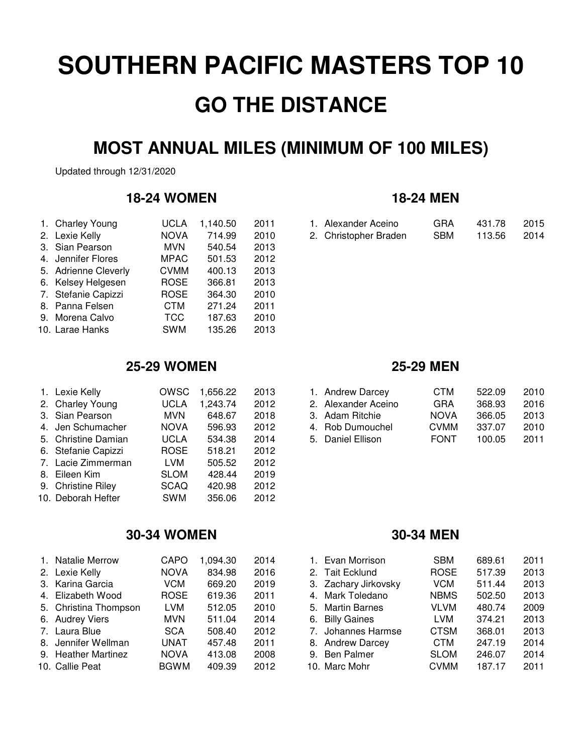# **MOST ANNUAL MILES (MINIMUM OF 100 MILES)**

Updated through 12/31/2020

## **18-24 WOMEN 18-24 MEN**

| 1. Charley Young     | <b>UCLA</b> | 1,140.50 | 2011 |
|----------------------|-------------|----------|------|
| 2. Lexie Kelly       | <b>NOVA</b> | 714.99   | 2010 |
| 3. Sian Pearson      | <b>MVN</b>  | 540.54   | 2013 |
| 4. Jennifer Flores   | <b>MPAC</b> | 501.53   | 2012 |
| 5. Adrienne Cleverly | <b>CVMM</b> | 400.13   | 2013 |
| 6. Kelsey Helgesen   | <b>ROSE</b> | 366.81   | 2013 |
| 7. Stefanie Capizzi  | <b>ROSE</b> | 364.30   | 2010 |
| 8. Panna Felsen      | <b>CTM</b>  | 271.24   | 2011 |
| 9. Morena Calvo      | <b>TCC</b>  | 187.63   | 2010 |
| 10. Larae Hanks      | <b>SWM</b>  | 135.26   | 2013 |

| 1. Charley Young |      | UCLA 1,140.50 2011 |      | 1. Alexander Aceino   | <b>GRA</b> | 431.78 | 2015 |
|------------------|------|--------------------|------|-----------------------|------------|--------|------|
| 2. Lexie Kelly   | NOVA | 714.99             | 2010 | 2. Christopher Braden | SBM        | 113.56 | 2014 |

# **25-29 WOMEN 25-29 MEN**

| 1. Lexie Kelly      | <b>OWSC</b> | 1,656.22 | 2013 | 1. Andrew Darcey    | <b>CTM</b>  | 522.09 | 2010 |
|---------------------|-------------|----------|------|---------------------|-------------|--------|------|
| 2. Charley Young    | <b>UCLA</b> | 1,243.74 | 2012 | 2. Alexander Aceino | <b>GRA</b>  | 368.93 | 2016 |
| 3. Sian Pearson     | MVN.        | 648.67   | 2018 | 3. Adam Ritchie     | <b>NOVA</b> | 366.05 | 2013 |
| 4. Jen Schumacher   | <b>NOVA</b> | 596.93   | 2012 | 4. Rob Dumouchel    | <b>CVMM</b> | 337.07 | 2010 |
| 5. Christine Damian | <b>UCLA</b> | 534.38   | 2014 | 5. Daniel Ellison   | <b>FONT</b> | 100.05 | 2011 |
| 6. Stefanie Capizzi | <b>ROSE</b> | 518.21   | 2012 |                     |             |        |      |
| 7. Lacie Zimmerman  | LVM         | 505.52   | 2012 |                     |             |        |      |
| 8. Eileen Kim       | <b>SLOM</b> | 428.44   | 2019 |                     |             |        |      |
| 9. Christine Riley  | <b>SCAQ</b> | 420.98   | 2012 |                     |             |        |      |
| 10. Deborah Hefter  | <b>SWM</b>  | 356.06   | 2012 |                     |             |        |      |

## **30-34 WOMEN 30-34 MEN**

| 1. Natalie Merrow     | CAPO        | 1.094.30 | 2014 | 1. Evan Morrison     | <b>SBM</b>  | 689.61 | 2011 |
|-----------------------|-------------|----------|------|----------------------|-------------|--------|------|
| 2. Lexie Kelly        | <b>NOVA</b> | 834.98   | 2016 | 2. Tait Ecklund      | <b>ROSE</b> | 517.39 | 2013 |
| 3. Karina Garcia      | VCM.        | 669.20   | 2019 | 3. Zachary Jirkovsky | <b>VCM</b>  | 511.44 | 2013 |
| 4. Elizabeth Wood     | <b>ROSE</b> | 619.36   | 2011 | 4. Mark Toledano     | <b>NBMS</b> | 502.50 | 2013 |
| 5. Christina Thompson | <b>LVM</b>  | 512.05   | 2010 | 5. Martin Barnes     | <b>VLVM</b> | 480.74 | 2009 |
| 6. Audrey Viers       | MVN.        | 511.04   | 2014 | 6. Billy Gaines      | LVM.        | 374.21 | 2013 |
| 7. Laura Blue         | <b>SCA</b>  | 508.40   | 2012 | 7. Johannes Harmse   | <b>CTSM</b> | 368.01 | 2013 |
| 8. Jennifer Wellman   | <b>UNAT</b> | 457.48   | 2011 | 8. Andrew Darcey     | <b>CTM</b>  | 247.19 | 2014 |
| 9. Heather Martinez   | <b>NOVA</b> | 413.08   | 2008 | 9. Ben Palmer        | <b>SLOM</b> | 246.07 | 2014 |
| 10. Callie Peat       | <b>BGWM</b> | 409.39   | 2012 | 10. Marc Mohr        | <b>CVMM</b> | 187.17 | 2011 |
|                       |             |          |      |                      |             |        |      |

| 1. Andrew Darcey    | <b>CTM</b>  | 522.09 | 2010 |
|---------------------|-------------|--------|------|
| 2. Alexander Aceino | GRA         | 368.93 | 2016 |
| 3. Adam Ritchie     | <b>NOVA</b> | 366.05 | 2013 |
| 4. Rob Dumouchel    | <b>CVMM</b> | 337.07 | 2010 |
| 5. Daniel Ellison   | <b>FONT</b> | 100.05 | 2011 |

| 1. Evan Morrison     | <b>SBM</b>  | 689.61 | 2011 |
|----------------------|-------------|--------|------|
| 2. Tait Ecklund      | <b>ROSE</b> | 517.39 | 2013 |
| 3. Zachary Jirkovsky | <b>VCM</b>  | 511.44 | 2013 |
| 4. Mark Toledano     | <b>NBMS</b> | 502.50 | 2013 |
| 5. Martin Barnes     | VLVM        | 480.74 | 2009 |
| 6. Billy Gaines      | LVM         | 374.21 | 2013 |
| 7. Johannes Harmse   | <b>CTSM</b> | 368.01 | 2013 |
| 8. Andrew Darcey     | <b>CTM</b>  | 247.19 | 2014 |
| 9. Ben Palmer        | <b>SLOM</b> | 246.07 | 2014 |
| 10. Marc Mohr        | <b>CVMM</b> | 187.17 | 2011 |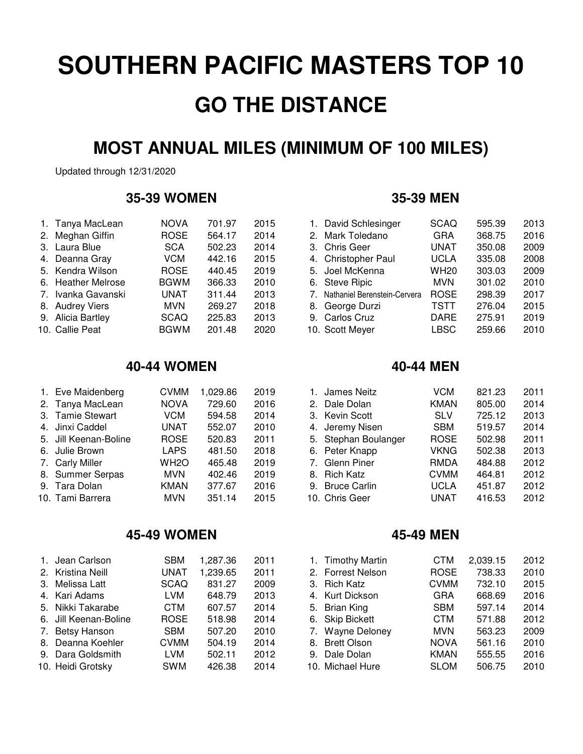# **MOST ANNUAL MILES (MINIMUM OF 100 MILES)**

Updated through 12/31/2020

### **35-39 WOMEN 35-39 MEN**

| 1. Tanya MacLean   | <b>NOVA</b> | 701.97 | 2015 | 1. David Schlesinger            | <b>SCAQ</b> | 595.39 | 2013 |
|--------------------|-------------|--------|------|---------------------------------|-------------|--------|------|
| 2. Meghan Giffin   | <b>ROSE</b> | 564.17 | 2014 | 2. Mark Toledano                | <b>GRA</b>  | 368.75 | 2016 |
| 3. Laura Blue      | <b>SCA</b>  | 502.23 | 2014 | 3. Chris Geer                   | UNAT        | 350.08 | 2009 |
| 4. Deanna Gray     | VCM         | 442.16 | 2015 | 4. Christopher Paul             | <b>UCLA</b> | 335.08 | 2008 |
| 5. Kendra Wilson   | <b>ROSE</b> | 440.45 | 2019 | 5. Joel McKenna                 | <b>WH20</b> | 303.03 | 2009 |
| 6. Heather Melrose | <b>BGWM</b> | 366.33 | 2010 | 6. Steve Ripic                  | <b>MVN</b>  | 301.02 | 2010 |
| 7. Ivanka Gavanski | <b>UNAT</b> | 311.44 | 2013 | 7. Nathaniel Berenstein-Cervera | <b>ROSE</b> | 298.39 | 2017 |
| 8. Audrey Viers    | MVN.        | 269.27 | 2018 | 8. George Durzi                 | <b>TSTT</b> | 276.04 | 2015 |
| 9. Alicia Bartley  | <b>SCAQ</b> | 225.83 | 2013 | 9. Carlos Cruz                  | <b>DARE</b> | 275.91 | 2019 |
| 10. Callie Peat    | <b>BGWM</b> | 201.48 | 2020 | 10. Scott Meyer                 | <b>LBSC</b> | 259.66 | 2010 |

### **40-44 WOMEN 40-44 MEN**

| 1. Eve Maidenberg     | <b>CVMM</b>       | 1,029.86 | 2019 | 1. James Neitz       | <b>VCM</b>  | 821.23 | 2011 |
|-----------------------|-------------------|----------|------|----------------------|-------------|--------|------|
| 2. Tanya MacLean      | <b>NOVA</b>       | 729.60   | 2016 | 2. Dale Dolan        | <b>KMAN</b> | 805.00 | 2014 |
| 3. Tamie Stewart      | VCM.              | 594.58   | 2014 | 3. Kevin Scott       | <b>SLV</b>  | 725.12 | 2013 |
| 4. Jinxi Caddel       | UNAT              | 552.07   | 2010 | 4. Jeremy Nisen      | <b>SBM</b>  | 519.57 | 2014 |
| 5. Jill Keenan-Boline | <b>ROSE</b>       | 520.83   | 2011 | 5. Stephan Boulanger | <b>ROSE</b> | 502.98 | 2011 |
| 6. Julie Brown        | <b>LAPS</b>       | 481.50   | 2018 | 6. Peter Knapp       | <b>VKNG</b> | 502.38 | 2013 |
| 7. Carly Miller       | WH <sub>2</sub> O | 465.48   | 2019 | 7. Glenn Piner       | RMDA        | 484.88 | 2012 |
| 8. Summer Serpas      | <b>MVN</b>        | 402.46   | 2019 | 8. Rich Katz         | <b>CVMM</b> | 464.81 | 2012 |
| 9. Tara Dolan         | <b>KMAN</b>       | 377.67   | 2016 | 9. Bruce Carlin      | <b>UCLA</b> | 451.87 | 2012 |
| 10. Tami Barrera      | <b>MVN</b>        | 351.14   | 2015 | 10. Chris Geer       | UNAT        | 416.53 | 2012 |
|                       |                   |          |      |                      |             |        |      |

# **45-49 WOMEN 45-49 MEN**

| 1. Jean Carlson       | <b>SBM</b>  | 1,287.36 | 2011 | 1. Timothy Martin | <b>CTM</b>  | 2,039.15 | 2012 |
|-----------------------|-------------|----------|------|-------------------|-------------|----------|------|
| 2. Kristina Neill     | UNAT        | 1,239.65 | 2011 | 2. Forrest Nelson | <b>ROSE</b> | 738.33   | 2010 |
| 3. Melissa Latt       | <b>SCAQ</b> | 831.27   | 2009 | 3. Rich Katz      | <b>CVMM</b> | 732.10   | 2015 |
| 4. Kari Adams         | LVM.        | 648.79   | 2013 | 4. Kurt Dickson   | <b>GRA</b>  | 668.69   | 2016 |
| 5. Nikki Takarabe     | CTM         | 607.57   | 2014 | 5. Brian King     | <b>SBM</b>  | 597.14   | 2014 |
| 6. Jill Keenan-Boline | <b>ROSE</b> | 518.98   | 2014 | 6. Skip Bickett   | <b>CTM</b>  | 571.88   | 2012 |
| 7. Betsy Hanson       | <b>SBM</b>  | 507.20   | 2010 | 7. Wayne Deloney  | <b>MVN</b>  | 563.23   | 2009 |
| 8. Deanna Koehler     | <b>CVMM</b> | 504.19   | 2014 | 8. Brett Olson    | <b>NOVA</b> | 561.16   | 2010 |
| 9. Dara Goldsmith     | LVM         | 502.11   | 2012 | 9. Dale Dolan     | <b>KMAN</b> | 555.55   | 2016 |
| 10. Heidi Grotsky     | <b>SWM</b>  | 426.38   | 2014 | 10. Michael Hure  | <b>SLOM</b> | 506.75   | 2010 |

| 1. David Schlesinger            | <b>SCAQ</b> | 595.39 | 2013 |
|---------------------------------|-------------|--------|------|
|                                 |             |        |      |
| 2. Mark Toledano                | <b>GRA</b>  | 368.75 | 2016 |
| 3. Chris Geer                   | <b>UNAT</b> | 350.08 | 2009 |
| 4. Christopher Paul             | <b>UCLA</b> | 335.08 | 2008 |
| 5. Joel McKenna                 | <b>WH20</b> | 303.03 | 2009 |
| 6. Steve Ripic                  | <b>MVN</b>  | 301.02 | 2010 |
| 7. Nathaniel Berenstein-Cervera | <b>ROSE</b> | 298.39 | 2017 |
| 8. George Durzi                 | <b>TSTT</b> | 276.04 | 2015 |
| 9. Carlos Cruz                  | <b>DARE</b> | 275.91 | 2019 |
| 10. Scott Meyer                 | <b>LBSC</b> | 259.66 | 2010 |
|                                 |             |        |      |

| 1. James Neitz       | <b>VCM</b>  | 821.23 | 2011 |
|----------------------|-------------|--------|------|
| 2. Dale Dolan        | <b>KMAN</b> | 805.00 | 2014 |
| 3. Kevin Scott       | <b>SLV</b>  | 725.12 | 2013 |
| 4. Jeremy Nisen      | <b>SBM</b>  | 519.57 | 2014 |
| 5. Stephan Boulanger | <b>ROSE</b> | 502.98 | 2011 |
| 6. Peter Knapp       | <b>VKNG</b> | 502.38 | 2013 |
| 7. Glenn Piner       | <b>RMDA</b> | 484.88 | 2012 |
| 8. Rich Katz         | <b>CVMM</b> | 464.81 | 2012 |
| 9. Bruce Carlin      | <b>UCLA</b> | 451.87 | 2012 |
| 10. Chris Geer       | <b>UNAT</b> | 416.53 | 2012 |
|                      |             |        |      |

| 1. Timothy Martin | <b>CTM</b>  | 2,039.15 | 2012 |
|-------------------|-------------|----------|------|
| 2. Forrest Nelson | <b>ROSE</b> | 738.33   | 2010 |
| 3. Rich Katz      | <b>CVMM</b> | 732.10   | 2015 |
| 4. Kurt Dickson   | <b>GRA</b>  | 668.69   | 2016 |
| 5. Brian King     | <b>SBM</b>  | 597.14   | 2014 |
| 6. Skip Bickett   | <b>CTM</b>  | 571.88   | 2012 |
| 7. Wayne Deloney  | <b>MVN</b>  | 563.23   | 2009 |
| 8. Brett Olson    | <b>NOVA</b> | 561.16   | 2010 |
| 9. Dale Dolan     | <b>KMAN</b> | 555.55   | 2016 |
| 10. Michael Hure  | <b>SLOM</b> | 506.75   | 2010 |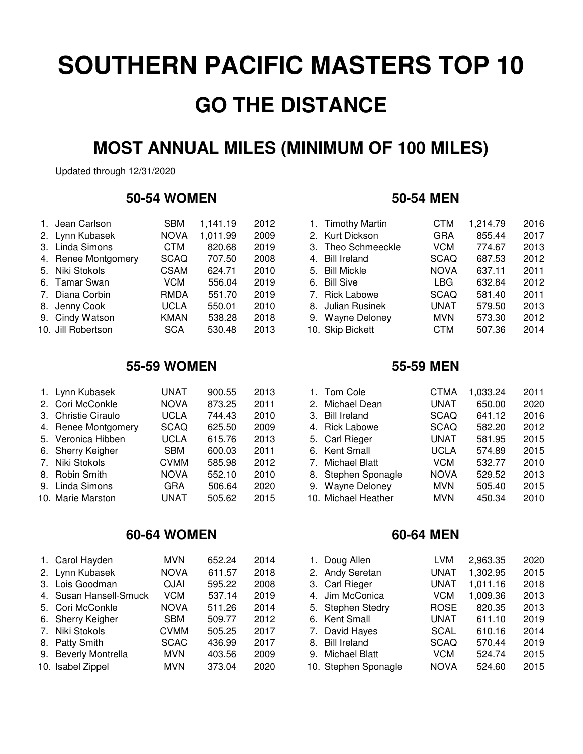# **MOST ANNUAL MILES (MINIMUM OF 100 MILES)**

Updated through 12/31/2020

### **50-54 WOMEN 50-54 MEN**

| 1. Jean Carlson     | <b>SBM</b>  | 1,141.19 | 2012 | 1. Timothy Martin  | <b>CTM</b>  | 1,214.79 | 2016 |
|---------------------|-------------|----------|------|--------------------|-------------|----------|------|
| 2. Lynn Kubasek     | <b>NOVA</b> | 1,011.99 | 2009 | 2. Kurt Dickson    | <b>GRA</b>  | 855.44   | 2017 |
| 3. Linda Simons     | CTM         | 820.68   | 2019 | 3. Theo Schmeeckle | <b>VCM</b>  | 774.67   | 2013 |
| 4. Renee Montgomery | <b>SCAQ</b> | 707.50   | 2008 | 4. Bill Ireland    | <b>SCAQ</b> | 687.53   | 2012 |
| 5. Niki Stokols     | <b>CSAM</b> | 624.71   | 2010 | 5. Bill Mickle     | <b>NOVA</b> | 637.11   | 2011 |
| 6. Tamar Swan       | VCM.        | 556.04   | 2019 | 6. Bill Sive       | LBG.        | 632.84   | 2012 |
| 7. Diana Corbin     | RMDA        | 551.70   | 2019 | 7. Rick Labowe     | <b>SCAQ</b> | 581.40   | 2011 |
| 8. Jenny Cook       | UCLA        | 550.01   | 2010 | 8. Julian Rusinek  | UNAT        | 579.50   | 2013 |
| 9. Cindy Watson     | <b>KMAN</b> | 538.28   | 2018 | 9. Wayne Deloney   | <b>MVN</b>  | 573.30   | 2012 |
| 10. Jill Robertson  | <b>SCA</b>  | 530.48   | 2013 | 10. Skip Bickett   | <b>CTM</b>  | 507.36   | 2014 |

### **55-59 WOMEN 55-59 MEN**

| UNAT                                                                                                                                                                                                      | 900.55 | 2013 | 1. Tom Cole      | <b>CTMA</b> | 1,033.24                                                       | 2011 |
|-----------------------------------------------------------------------------------------------------------------------------------------------------------------------------------------------------------|--------|------|------------------|-------------|----------------------------------------------------------------|------|
| <b>NOVA</b>                                                                                                                                                                                               | 873.25 | 2011 | 2. Michael Dean  | UNAT        | 650.00                                                         | 2020 |
| UCLA                                                                                                                                                                                                      | 744.43 | 2010 | 3. Bill Ireland  | <b>SCAQ</b> | 641.12                                                         | 2016 |
| <b>SCAQ</b>                                                                                                                                                                                               | 625.50 | 2009 | 4. Rick Labowe   | <b>SCAQ</b> | 582.20                                                         | 2012 |
| UCLA                                                                                                                                                                                                      | 615.76 | 2013 | 5. Carl Rieger   | UNAT        | 581.95                                                         | 2015 |
| <b>SBM</b>                                                                                                                                                                                                | 600.03 | 2011 | 6. Kent Small    | <b>UCLA</b> | 574.89                                                         | 2015 |
| <b>CVMM</b>                                                                                                                                                                                               | 585.98 | 2012 | 7. Michael Blatt | VCM         | 532.77                                                         | 2010 |
| <b>NOVA</b>                                                                                                                                                                                               | 552.10 | 2010 |                  | NOVA        | 529.52                                                         | 2013 |
| GRA                                                                                                                                                                                                       | 506.64 | 2020 |                  | <b>MVN</b>  | 505.40                                                         | 2015 |
| UNAT                                                                                                                                                                                                      | 505.62 | 2015 |                  | <b>MVN</b>  | 450.34                                                         | 2010 |
| 1. Lynn Kubasek<br>2. Cori McConkle<br>3. Christie Ciraulo<br>4. Renee Montgomery<br>5. Veronica Hibben<br>6. Sherry Keigher<br>7. Niki Stokols<br>8. Robin Smith<br>9. Linda Simons<br>10. Marie Marston |        |      |                  |             | 8. Stephen Sponagle<br>9. Wayne Deloney<br>10. Michael Heather |      |

# **60-64 WOMEN 60-64 MEN**

| 1. Carol Hayden        | <b>MVN</b>  | 652.24 | 2014 | 1. Doug Allen        | LVM         | 2,963.35 | 2020 |
|------------------------|-------------|--------|------|----------------------|-------------|----------|------|
| 2. Lynn Kubasek        | <b>NOVA</b> | 611.57 | 2018 | 2. Andy Seretan      | UNAT        | 1,302.95 | 2015 |
| 3. Lois Goodman        | <b>OJAI</b> | 595.22 | 2008 | 3. Carl Rieger       | UNAT        | 1,011.16 | 2018 |
| 4. Susan Hansell-Smuck | VCM         | 537.14 | 2019 | 4. Jim McConica      | <b>VCM</b>  | 1,009.36 | 2013 |
| 5. Cori McConkle       | <b>NOVA</b> | 511.26 | 2014 | 5. Stephen Stedry    | <b>ROSE</b> | 820.35   | 2013 |
| 6. Sherry Keigher      | <b>SBM</b>  | 509.77 | 2012 | 6. Kent Small        | UNAT        | 611.10   | 2019 |
| 7. Niki Stokols        | <b>CVMM</b> | 505.25 | 2017 | 7. David Hayes       | <b>SCAL</b> | 610.16   | 2014 |
| 8. Patty Smith         | <b>SCAC</b> | 436.99 | 2017 | 8. Bill Ireland      | <b>SCAQ</b> | 570.44   | 2019 |
| 9. Beverly Montrella   | MVN.        | 403.56 | 2009 | 9. Michael Blatt     | <b>VCM</b>  | 524.74   | 2015 |
| 10. Isabel Zippel      | <b>MVN</b>  | 373.04 | 2020 | 10. Stephen Sponagle | <b>NOVA</b> | 524.60   | 2015 |

| 1. Timothy Martin  | <b>CTM</b>  | 1,214.79 | 2016 |
|--------------------|-------------|----------|------|
| 2. Kurt Dickson    | <b>GRA</b>  | 855.44   | 2017 |
| 3. Theo Schmeeckle | <b>VCM</b>  | 774.67   | 2013 |
| 4. Bill Ireland    | <b>SCAQ</b> | 687.53   | 2012 |
| 5. Bill Mickle     | <b>NOVA</b> | 637.11   | 2011 |
| 6. Bill Sive       | <b>LBG</b>  | 632.84   | 2012 |
| 7. Rick Labowe     | <b>SCAQ</b> | 581.40   | 2011 |
| 8. Julian Rusinek  | <b>UNAT</b> | 579.50   | 2013 |
| 9. Wayne Deloney   | <b>MVN</b>  | 573.30   | 2012 |
| 10. Skip Bickett   | <b>CTM</b>  | 507.36   | 2014 |

| 1. Tom Cole         | <b>CTMA</b> | 1,033.24 | 2011 |
|---------------------|-------------|----------|------|
| 2. Michael Dean     | <b>UNAT</b> | 650.00   | 2020 |
| 3. Bill Ireland     | <b>SCAQ</b> | 641.12   | 2016 |
| 4. Rick Labowe      | <b>SCAQ</b> | 582.20   | 2012 |
| 5. Carl Rieger      | <b>UNAT</b> | 581.95   | 2015 |
| 6. Kent Small       | <b>UCLA</b> | 574.89   | 2015 |
| 7. Michael Blatt    | <b>VCM</b>  | 532.77   | 2010 |
| 8. Stephen Sponagle | <b>NOVA</b> | 529.52   | 2013 |
| 9. Wayne Deloney    | <b>MVN</b>  | 505.40   | 2015 |
| 10. Michael Heather | <b>MVN</b>  | 450.34   | 2010 |
|                     |             |          |      |

| 1. Doug Allen        | <b>LVM</b>  | 2,963.35 | 2020 |
|----------------------|-------------|----------|------|
| 2. Andy Seretan      | <b>UNAT</b> | 1,302.95 | 2015 |
| 3. Carl Rieger       | <b>UNAT</b> | 1,011.16 | 2018 |
| 4. Jim McConica      | <b>VCM</b>  | 1,009.36 | 2013 |
| 5. Stephen Stedry    | <b>ROSE</b> | 820.35   | 2013 |
| 6. Kent Small        | <b>UNAT</b> | 611.10   | 2019 |
| 7. David Hayes       | <b>SCAL</b> | 610.16   | 2014 |
| 8. Bill Ireland      | <b>SCAQ</b> | 570.44   | 2019 |
| 9. Michael Blatt     | <b>VCM</b>  | 524.74   | 2015 |
| 10. Stephen Sponagle | <b>NOVA</b> | 524.60   | 2015 |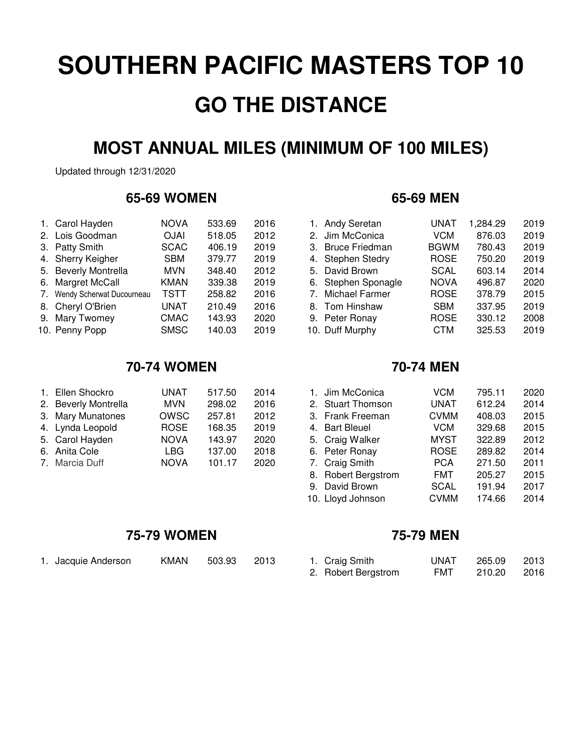# **MOST ANNUAL MILES (MINIMUM OF 100 MILES)**

Updated through 12/31/2020

### **65-69 WOMEN 65-69 MEN**

| 1. Carol Hayden              | <b>NOVA</b> | 533.69 | 2016 | 1. Andy Seretan     | UNAT        | 1,284.29 | 2019 |
|------------------------------|-------------|--------|------|---------------------|-------------|----------|------|
| 2. Lois Goodman              | <b>OJAI</b> | 518.05 | 2012 | 2. Jim McConica     | <b>VCM</b>  | 876.03   | 2019 |
| 3. Patty Smith               | <b>SCAC</b> | 406.19 | 2019 | 3. Bruce Friedman   | <b>BGWM</b> | 780.43   | 2019 |
| 4. Sherry Keigher            | <b>SBM</b>  | 379.77 | 2019 | 4. Stephen Stedry   | <b>ROSE</b> | 750.20   | 2019 |
| 5. Beverly Montrella         | <b>MVN</b>  | 348.40 | 2012 | 5. David Brown      | <b>SCAL</b> | 603.14   | 2014 |
| 6. Margret McCall            | <b>KMAN</b> | 339.38 | 2019 | 6. Stephen Sponagle | <b>NOVA</b> | 496.87   | 2020 |
| 7. Wendy Scherwat Ducourneau | TSTT        | 258.82 | 2016 | 7. Michael Farmer   | <b>ROSE</b> | 378.79   | 2015 |
| 8. Cheryl O'Brien            | UNAT        | 210.49 | 2016 | 8. Tom Hinshaw      | <b>SBM</b>  | 337.95   | 2019 |
| 9. Mary Twomey               | <b>CMAC</b> | 143.93 | 2020 | 9. Peter Ronay      | <b>ROSE</b> | 330.12   | 2008 |
| 10. Penny Popp               | <b>SMSC</b> | 140.03 | 2019 | 10. Duff Murphy     | <b>CTM</b>  | 325.53   | 2019 |

### **70-74 WOMEN 70-74 MEN**

| 1. Ellen Shockro     | UNAT        | 517.50 | 2014 | 1. Jim McConica   | VCM         | 795.11 | 2020 |
|----------------------|-------------|--------|------|-------------------|-------------|--------|------|
| 2. Beverly Montrella | <b>MVN</b>  | 298.02 | 2016 | 2. Stuart Thomson | UNAT        | 612.24 | 2014 |
| 3. Mary Munatones    | OWSC        | 257.81 | 2012 | 3. Frank Freeman  | <b>CVMM</b> | 408.03 | 2015 |
| 4. Lynda Leopold     | <b>ROSE</b> | 168.35 | 2019 | 4. Bart Bleuel    | VCM         | 329.68 | 2015 |
| 5. Carol Hayden      | <b>NOVA</b> | 143.97 | 2020 | 5. Craig Walker   | MYST        | 322.89 | 2012 |
| 6. Anita Cole        | LBG.        | 137.00 | 2018 | 6. Peter Ronay    | <b>ROSE</b> | 289.82 | 2014 |
| 7. Marcia Duff       | <b>NOVA</b> | 101.17 | 2020 | 7. Craig Smith    | <b>PCA</b>  | 271.50 | 2011 |

| 1. Andy Seretan     | <b>UNAT</b> | 1,284.29 | 2019 |
|---------------------|-------------|----------|------|
| 2. Jim McConica     | <b>VCM</b>  | 876.03   | 2019 |
| 3. Bruce Friedman   | <b>BGWM</b> | 780.43   | 2019 |
| 4. Stephen Stedry   | <b>ROSE</b> | 750.20   | 2019 |
| 5. David Brown      | <b>SCAL</b> | 603.14   | 2014 |
| 6. Stephen Sponagle | <b>NOVA</b> | 496.87   | 2020 |
| 7. Michael Farmer   | <b>ROSE</b> | 378.79   | 2015 |
| 8. Tom Hinshaw      | <b>SBM</b>  | 337.95   | 2019 |
| 9. Peter Ronay      | <b>ROSE</b> | 330.12   | 2008 |
| 10. Duff Murphy     | <b>CTM</b>  | 325.53   | 2019 |
|                     |             |          |      |

| 1. Jim McConica     | <b>VCM</b>  | 795.11 | 2020 |
|---------------------|-------------|--------|------|
|                     |             |        |      |
| 2. Stuart Thomson   | <b>UNAT</b> | 612.24 | 2014 |
| 3. Frank Freeman    | <b>CVMM</b> | 408.03 | 2015 |
| 4. Bart Bleuel      | <b>VCM</b>  | 329.68 | 2015 |
| 5. Craig Walker     | <b>MYST</b> | 322.89 | 2012 |
| 6. Peter Ronay      | <b>ROSE</b> | 289.82 | 2014 |
| 7. Craig Smith      | <b>PCA</b>  | 271.50 | 2011 |
| 8. Robert Bergstrom | <b>FMT</b>  | 205.27 | 2015 |
| 9. David Brown      | <b>SCAL</b> | 191.94 | 2017 |
| 10. Lloyd Johnson   | <b>CVMM</b> | 174.66 | 2014 |
|                     |             |        |      |

## **75-79 WOMEN 75-79 MEN**

1. Jacquie Anderson KMAN 503.93 2013

| 1. Craig Smith      | UNAT       | 265.09 | 2013 |
|---------------------|------------|--------|------|
| 2. Robert Bergstrom | <b>FMT</b> | 210.20 | 2016 |